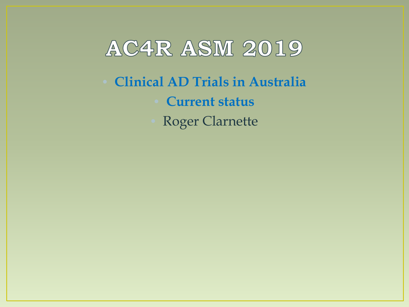#### AC4R ASM 2019

• **Clinical AD Trials in Australia** • **Current status** • Roger Clarnette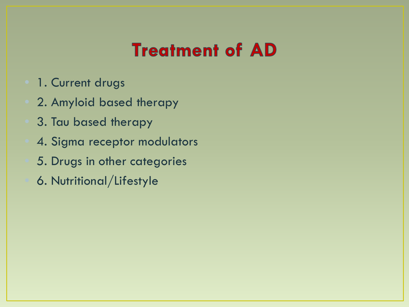#### **Treatment of AD**

- 1. Current drugs
- 2. Amyloid based therapy
- 3. Tau based therapy
- 4. Sigma receptor modulators
	- 5. Drugs in other categories
	- 6. Nutritional/Lifestyle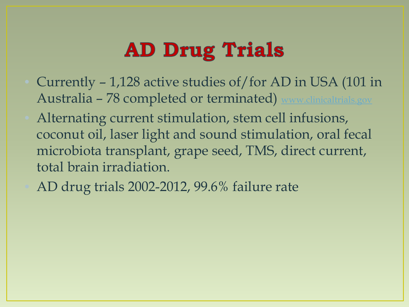# **AD Drug Trials**

- Currently 1,128 active studies of/for AD in USA (101 in Australia – 78 completed or terminated) [www.clinicaltrials.gov](http://www.clinicaltrials.gov)
- Alternating current stimulation, stem cell infusions, coconut oil, laser light and sound stimulation, oral fecal microbiota transplant, grape seed, TMS, direct current, total brain irradiation.
	- AD drug trials 2002-2012, 99.6% failure rate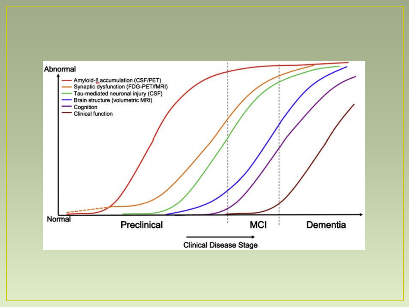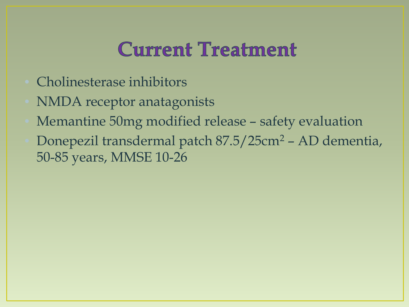#### **Current Treatment**

- Cholinesterase inhibitors
- NMDA receptor anatagonists
- Memantine 50mg modified release safety evaluation
- Donepezil transdermal patch 87.5/25cm2 AD dementia, 50-85 years, MMSE 10-26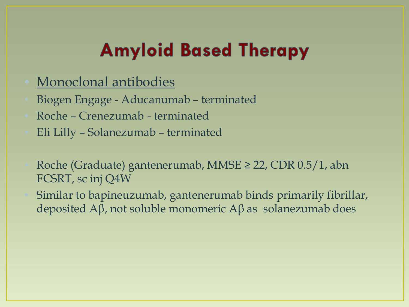- Monoclonal antibodies
- Biogen Engage Aducanumab terminated
- Roche Crenezumab terminated
- Eli Lilly Solanezumab terminated
	- Roche (Graduate) gantenerumab, MMSE ≥ 22, CDR 0.5/1, abn FCSRT, sc inj Q4W
	- Similar to bapineuzumab, gantenerumab binds primarily fibrillar, deposited  $A\beta$ , not soluble monomeric  $A\beta$  as solanezumab does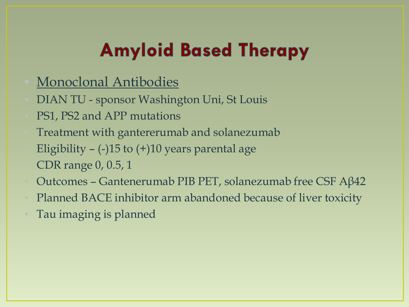- Monoclonal Antibodies
- DIAN TU sponsor Washington Uni, St Louis
- PS1, PS2 and APP mutations
- Treatment with gantererumab and solanezumab
- Eligibility  $(-)15$  to  $(+)10$  years parental age
- CDR range 0, 0.5, 1
- Outcomes Gantenerumab PIB PET, solanezumab free CSF Aβ42
- Planned BACE inhibitor arm abandoned because of liver toxicity
- Tau imaging is planned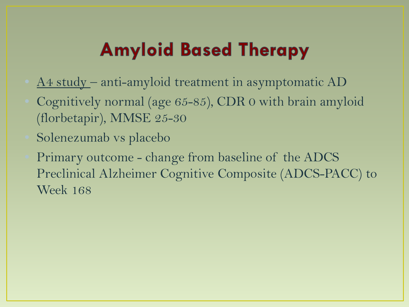- A4 study anti-amyloid treatment in asymptomatic AD
- Cognitively normal (age 65-85), CDR 0 with brain amyloid (florbetapir), MMSE 25-30
- Solenezumab vs placebo
- Primary outcome change from baseline of the ADCS Preclinical Alzheimer Cognitive Composite (ADCS-PACC) to Week 168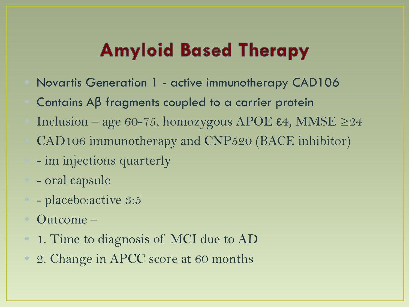- Novartis Generation 1 active immunotherapy CAD106
- Contains Aβ fragments coupled to a carrier protein
- Inclusion age 60-75, homozygous APOE  $\varepsilon$ 4, MMSE ≥24
- CAD106 immunotherapy and CNP520 (BACE inhibitor)
	- im injections quarterly
	- - oral capsule
	- - placebo:active 3:5
- Outcome –
- 1. Time to diagnosis of MCI due to AD
- 2. Change in APCC score at 60 months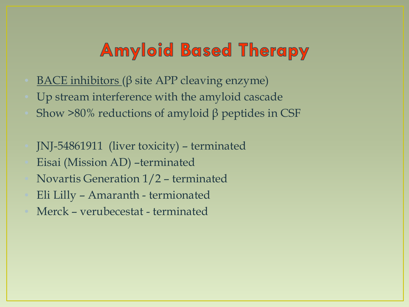- $\overline{BACE}$  inhibitors (β site APP cleaving enzyme)
- Up stream interference with the amyloid cascade
- Show  $>80\%$  reductions of amyloid β peptides in CSF
- JNJ-54861911 (liver toxicity) terminated
- Eisai (Mission AD) –terminated
- Novartis Generation 1/2 terminated
- Eli Lilly Amaranth termionated
- Merck verubecestat terminated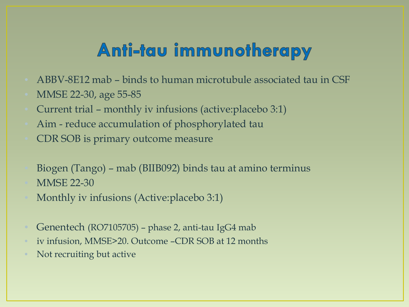#### Anti-tau immunotherapy

- ABBV-8E12 mab binds to human microtubule associated tau in CSF
- MMSE 22-30, age 55-85
- Current trial monthly iv infusions (active:placebo 3:1)
- Aim reduce accumulation of phosphorylated tau
- CDR SOB is primary outcome measure
- Biogen (Tango) mab (BIIB092) binds tau at amino terminus • MMSE 22-30
- Monthly iv infusions (Active:placebo 3:1)
- Genentech (RO7105705) phase 2, anti-tau IgG4 mab
- iv infusion, MMSE>20. Outcome –CDR SOB at 12 months
- Not recruiting but active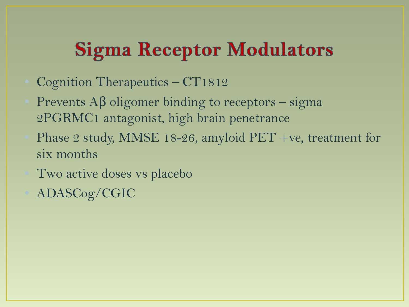## **Sigma Receptor Modulators**

- Cognition Therapeutics CT1812
- Prevents  $\Lambda\beta$  oligomer binding to receptors sigma 2PGRMC1 antagonist, high brain penetrance
- Phase 2 study, MMSE 18-26, amyloid PET +ve, treatment for six months
	- Two active doses vs placebo
	- ADASCog/CGIC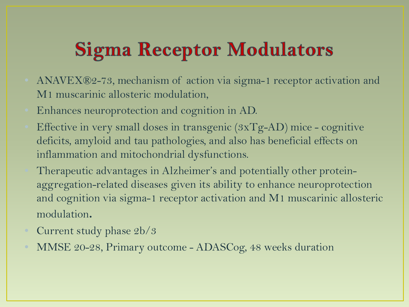## **Sigma Receptor Modulators**

- ANAVEX®2-73, mechanism of action via sigma-1 receptor activation and M1 muscarinic allosteric modulation,
- Enhances neuroprotection and cognition in AD.
- Effective in very small doses in transgenic  $(3xTg-AD)$  mice cognitive deficits, amyloid and tau pathologies, and also has beneficial effects on inflammation and mitochondrial dysfunctions.
- Therapeutic advantages in Alzheimer's and potentially other proteinaggregation-related diseases given its ability to enhance neuroprotection and cognition via sigma-1 receptor activation and M1 muscarinic allosteric modulation.
- Current study phase 2b/3
- MMSE 20-28, Primary outcome ADASCog, 48 weeks duration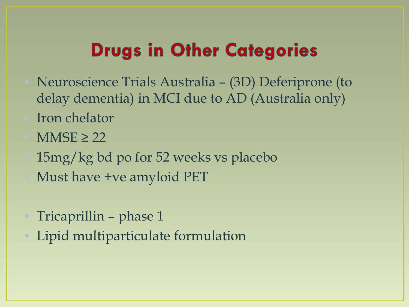### **Drugs in Other Categories**

- Neuroscience Trials Australia (3D) Deferiprone (to delay dementia) in MCI due to AD (Australia only)
- Iron chelator
- $MMSE \geq 22$
- 15mg/kg bd po for 52 weeks vs placebo
- Must have +ve amyloid PET
- Tricaprillin phase 1
- Lipid multiparticulate formulation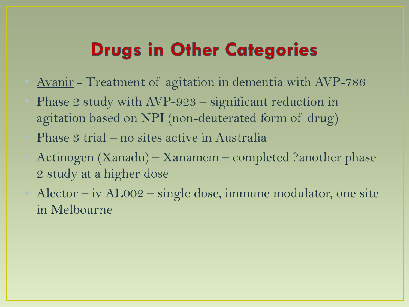#### **Drugs in Other Categories**

- Avanir Treatment of agitation in dementia with AVP-786
- Phase 2 study with AVP-923 significant reduction in agitation based on NPI (non-deuterated form of drug)
- Phase 3 trial no sites active in Australia
- Actinogen (Xanadu) Xanamem completed ?another phase 2 study at a higher dose
	- Alector iv AL002 single dose, immune modulator, one site in Melbourne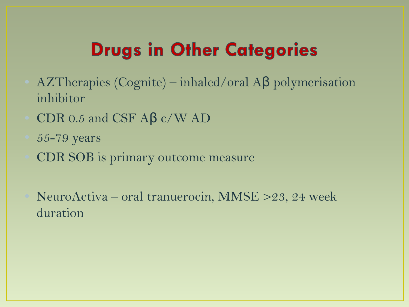### **Drugs in Other Categories**

- AZTherapies (Cognite) inhaled/oral Aβ polymerisation inhibitor
- CDR 0.5 and CSF Aβ c/W AD
- 55-79 years
- CDR SOB is primary outcome measure
- NeuroActiva oral tranuerocin, MMSE >23, 24 week duration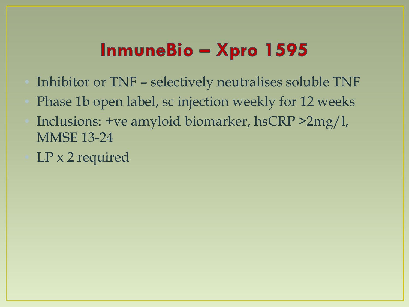## InmuneBio – Xpro 1595

- Inhibitor or TNF selectively neutralises soluble TNF
- Phase 1b open label, sc injection weekly for 12 weeks
- Inclusions: +ve amyloid biomarker, hsCRP >2mg/l, MMSE 13-24
- $LP x 2$  required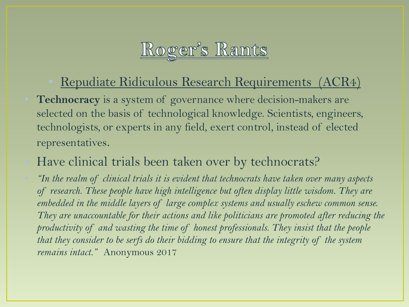#### Roger's Rants

#### • Repudiate Ridiculous Research Requirements (ACR4)

- **Technocracy** is a system of governance where decision-makers are selected on the basis of technological knowledge. Scientists, engineers, technologists, or experts in any field, exert control, instead of elected representatives.
	- Have clinical trials been taken over by technocrats?

• *"In the realm of clinical trials it is evident that technocrats have taken over many aspects of research. These people have high intelligence but often display little wisdom. They are embedded in the middle layers of large complex systems and usually eschew common sense. They are unaccountable for their actions and like politicians are promoted after reducing the productivity of and wasting the time of honest professionals. They insist that the people that they consider to be serfs do their bidding to ensure that the integrity of the system remains intact."* Anonymous 2017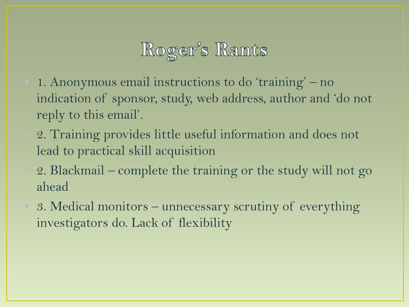#### Roger's Rants

- 1. Anonymous email instructions to do 'training' no indication of sponsor, study, web address, author and 'do not reply to this email'.
- 2. Training provides little useful information and does not lead to practical skill acquisition
- 2. Blackmail complete the training or the study will not go ahead
- 3. Medical monitors unnecessary scrutiny of everything investigators do. Lack of flexibility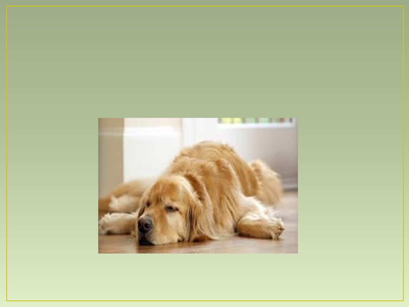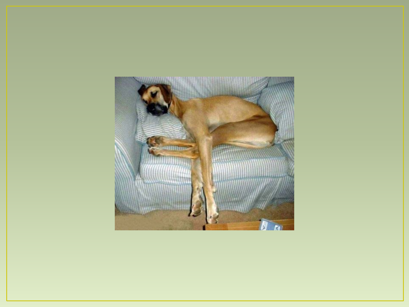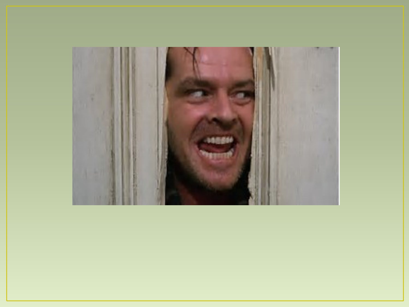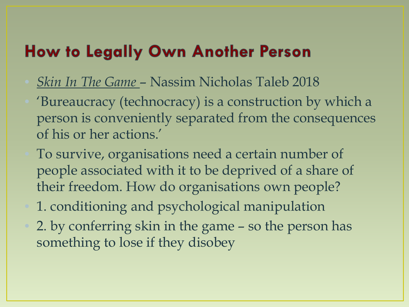#### **How to Legally Own Another Person**

- *Skin In The Game*  Nassim Nicholas Taleb 2018
- 'Bureaucracy (technocracy) is a construction by which a person is conveniently separated from the consequences of his or her actions.'
- To survive, organisations need a certain number of people associated with it to be deprived of a share of their freedom. How do organisations own people?
- 1. conditioning and psychological manipulation
- 2. by conferring skin in the game so the person has something to lose if they disobey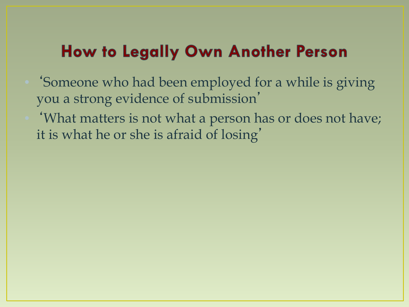#### **How to Legally Own Another Person**

- 'Someone who had been employed for a while is giving you a strong evidence of submission'
- 'What matters is not what a person has or does not have; it is what he or she is afraid of losing'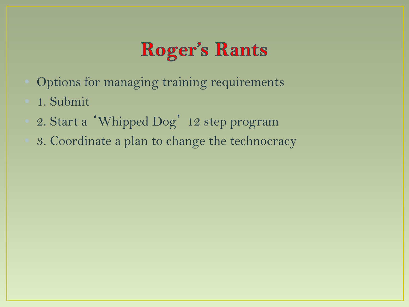## **Roger's Rants**

- Options for managing training requirements
- 1. Submit
- 2. Start a 'Whipped Dog' 12 step program
- 3. Coordinate a plan to change the technocracy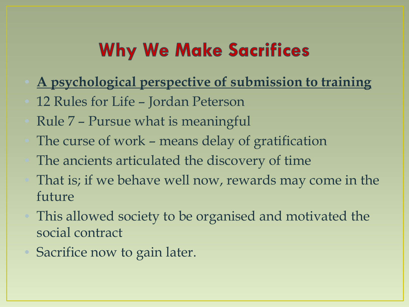#### **Why We Make Sacrifices**

- **A psychological perspective of submission to training**
- 12 Rules for Life Jordan Peterson
- Rule 7 Pursue what is meaningful
- The curse of work means delay of gratification
- The ancients articulated the discovery of time
- That is; if we behave well now, rewards may come in the future
- This allowed society to be organised and motivated the social contract
- Sacrifice now to gain later.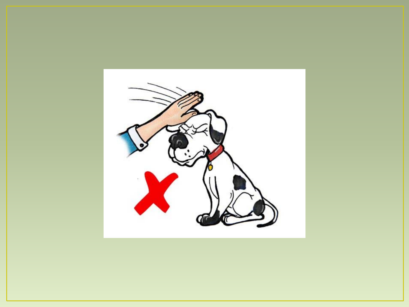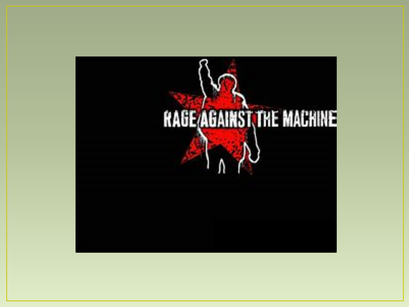